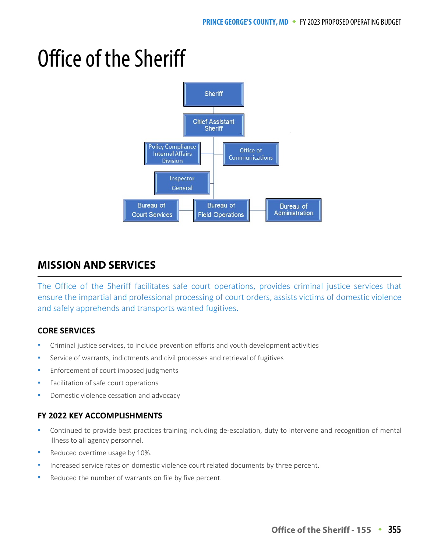# Office of the Sheriff



# **MISSION AND SERVICES**

The Office of the Sheriff facilitates safe court operations, provides criminal justice services that ensure the impartial and professional processing of court orders, assists victims of domestic violence and safely apprehends and transports wanted fugitives.

## **CORE SERVICES**

- Criminal justice services, to include prevention efforts and youth development activities
- Service of warrants, indictments and civil processes and retrieval of fugitives
- Enforcement of court imposed judgments
- Facilitation of safe court operations
- Domestic violence cessation and advocacy

## **FY 2022 KEY ACCOMPLISHMENTS**

- Continued to provide best practices training including de-escalation, duty to intervene and recognition of mental illness to all agency personnel.
- Reduced overtime usage by 10%.
- Increased service rates on domestic violence court related documents by three percent.
- Reduced the number of warrants on file by five percent.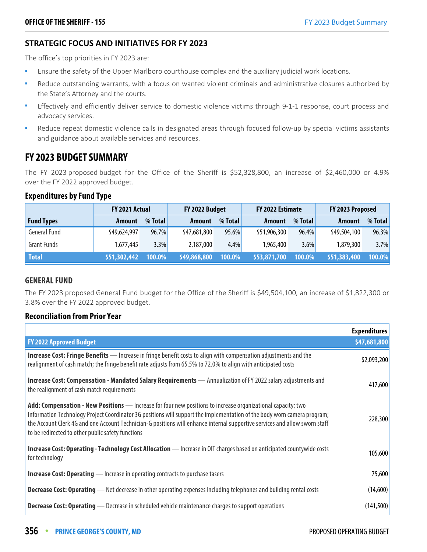## **STRATEGIC FOCUS AND INITIATIVES FOR FY 2023**

The office's top priorities in FY 2023 are:

- **E** Ensure the safety of the Upper Marlboro courthouse complex and the auxiliary judicial work locations.
- Reduce outstanding warrants, with a focus on wanted violent criminals and administrative closures authorized by the State's Attorney and the courts.
- Effectively and efficiently deliver service to domestic violence victims through 9-1-1 response, court process and advocacy services.
- Reduce repeat domestic violence calls in designated areas through focused follow-up by special victims assistants and guidance about available services and resources.

# **FY 2023 BUDGET SUMMARY**

The FY 2023 proposed budget for the Office of the Sheriff is \$52,328,800, an increase of \$2,460,000 or 4.9% over the FY 2022 approved budget.

#### **Expenditures by Fund Type**

|                     | FY 2021 Actual |          | FY 2022 Budget |           | FY 2022 Estimate |         | FY 2023 Proposed |         |
|---------------------|----------------|----------|----------------|-----------|------------------|---------|------------------|---------|
| <b>Fund Types</b>   | Amount         | % Total  | Amount         | % Total   | Amount           | % Total | Amount           | % Total |
| <b>General Fund</b> | \$49,624,997   | $96.7\%$ | \$47,681,800   | 95.6%     | \$51,906,300     | 96.4%   | \$49,504,100     | 96.3%   |
| <b>Grant Funds</b>  | 1,677,445      | 3.3%     | 2,187,000      | 4.4%      | 1,965,400        | 3.6%    | 1,879,300        | 3.7%    |
| <b>Total</b>        | \$51,302,442   | 100.0%   | \$49,868,800   | $100.0\%$ | \$53,871,700     | 100.0%  | \$51,383,400     | 100.0%  |

## **GENERAL FUND**

The FY 2023 proposed General Fund budget for the Office of the Sheriff is \$49,504,100, an increase of \$1,822,300 or 3.8% over the FY 2022 approved budget.

## **Reconciliation from Prior Year**

|                                                                                                                                                                                                                                                                                                                                                                                                                              | <b>Expenditures</b> |
|------------------------------------------------------------------------------------------------------------------------------------------------------------------------------------------------------------------------------------------------------------------------------------------------------------------------------------------------------------------------------------------------------------------------------|---------------------|
| <b>FY 2022 Approved Budget</b>                                                                                                                                                                                                                                                                                                                                                                                               | \$47,681,800        |
| <b>Increase Cost: Fringe Benefits</b> — Increase in fringe benefit costs to align with compensation adjustments and the<br>realignment of cash match; the fringe benefit rate adjusts from 65.5% to 72.0% to align with anticipated costs                                                                                                                                                                                    | \$2,093,200         |
| Increase Cost: Compensation - Mandated Salary Requirements - Annualization of FY 2022 salary adjustments and<br>the realignment of cash match requirements                                                                                                                                                                                                                                                                   | 417,600             |
| Add: Compensation - New Positions - Increase for four new positions to increase organizational capacity; two<br>Information Technology Project Coordinator 3G positions will support the implementation of the body worn camera program;<br>the Account Clerk 4G and one Account Technician-G positions will enhance internal supportive services and allow sworn staff<br>to be redirected to other public safety functions | 228,300             |
| Increase Cost: Operating - Technology Cost Allocation - Increase in OIT charges based on anticipated countywide costs<br>for technology                                                                                                                                                                                                                                                                                      | 105,600             |
| <b>Increase Cost: Operating</b> — Increase in operating contracts to purchase tasers                                                                                                                                                                                                                                                                                                                                         | 75,600              |
| <b>Decrease Cost: Operating</b> — Net decrease in other operating expenses including telephones and building rental costs                                                                                                                                                                                                                                                                                                    | (14,600)            |
| <b>Decrease Cost: Operating</b> — Decrease in scheduled vehicle maintenance charges to support operations                                                                                                                                                                                                                                                                                                                    | (141, 500)          |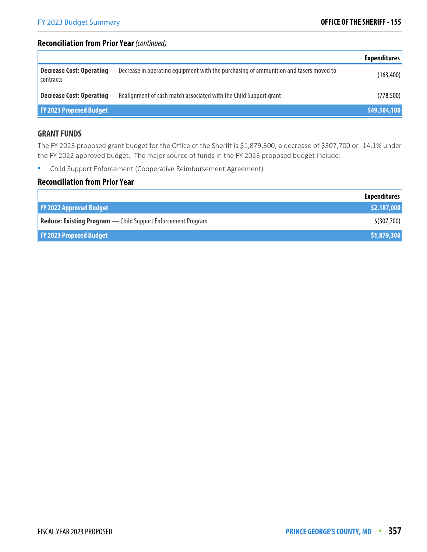## **Reconciliation from Prior Year** (continued)

|                                                                                                                                      | <b>Expenditures</b> |
|--------------------------------------------------------------------------------------------------------------------------------------|---------------------|
| <b>Decrease Cost: Operating</b> — Decrease in operating equipment with the purchasing of ammunition and tasers moved to<br>contracts | (163, 400)          |
| <b>Decrease Cost: Operating</b> - Realignment of cash match associated with the Child Support grant                                  | (778, 500)          |
| <b>FY 2023 Proposed Budget</b>                                                                                                       | \$49,504,100        |

#### **GRANT FUNDS**

The FY 2023 proposed grant budget for the Office of the Sheriff is \$1,879,300, a decrease of \$307,700 or -14.1% under the FY 2022 approved budget. The major source of funds in the FY 2023 proposed budget include:

Child Support Enforcement (Cooperative Reimbursement Agreement)

## **Reconciliation from Prior Year**

|                                                                     | <b>Expenditures</b> |
|---------------------------------------------------------------------|---------------------|
| <b>FY 2022 Approved Budget</b>                                      | \$2,187,000         |
| <b>Reduce: Existing Program</b> - Child Support Enforcement Program | \$(307,700)         |
| <b>FY 2023 Proposed Budget</b>                                      | \$1,879,300         |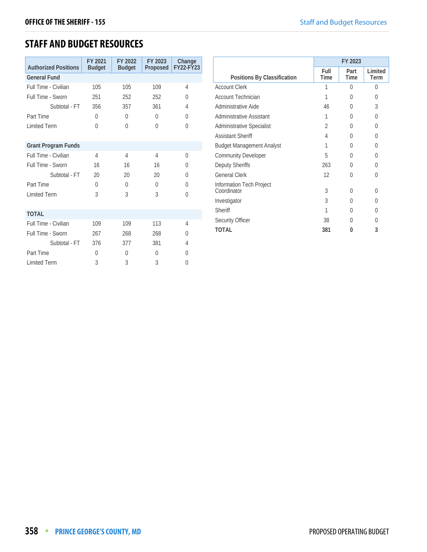# **STAFF AND BUDGET RESOURCES**

| <b>Authorized Positions</b> | FY 2021<br><b>Budget</b> | FY 2022<br><b>Budget</b> | FY 2023<br>Proposed | Change<br><b>FY22-FY23</b> |
|-----------------------------|--------------------------|--------------------------|---------------------|----------------------------|
| <b>General Fund</b>         |                          |                          |                     |                            |
| Full Time - Civilian        | 105                      | 105                      | 109                 | 4                          |
| Full Time - Sworn           | 251                      | 252                      | 252                 | $\Omega$                   |
| Subtotal - FT               | 356                      | 357                      | 361                 | 4                          |
| Part Time                   | 0                        | $\theta$                 | $\Omega$            | 0                          |
| <b>Limited Term</b>         | $\Omega$                 | $\Omega$                 | $\Omega$            | $\Omega$                   |
|                             |                          |                          |                     |                            |
| <b>Grant Program Funds</b>  |                          |                          |                     |                            |
| Full Time - Civilian        | 4                        | 4                        | 4                   | $\Omega$                   |
| Full Time - Sworn           | 16                       | 16                       | 16                  | <sup>0</sup>               |
| Subtotal - FT               | 20                       | 20                       | 20                  | 0                          |
| Part Time                   | $\Omega$                 | $\Omega$                 | $\Omega$            | $\Omega$                   |
| <b>Limited Term</b>         | 3                        | 3                        | 3                   | $\Omega$                   |
|                             |                          |                          |                     |                            |
| <b>TOTAL</b>                |                          |                          |                     |                            |
| Full Time - Civilian        | 109                      | 109                      | 113                 | 4                          |
| Full Time - Sworn           | 267                      | 268                      | 268                 | 0                          |
| Subtotal - FT               | 376                      | 377                      | 381                 | 4                          |
| Part Time                   | $\Omega$                 | $\Omega$                 | $\Omega$            | 0                          |
| <b>Limited Term</b>         | 3                        | 3                        | 3                   | 0                          |

|                                         |                | FY 2023      |                 |
|-----------------------------------------|----------------|--------------|-----------------|
| Positions By Classification             | Full<br>Time   | Part<br>Time | Limited<br>Term |
| <b>Account Clerk</b>                    | 1              | 0            | $\Omega$        |
| <b>Account Technician</b>               | 1              | O            | $\left($        |
| Administrative Aide                     | 46             | O            | 3               |
| Administrative Assistant                | 1              | 0            | $\Omega$        |
| Administrative Specialist               | $\overline{2}$ | O            | $\Omega$        |
| <b>Assistant Sheriff</b>                | 4              | O            | $\Omega$        |
| <b>Budget Management Analyst</b>        | 1              | 0            | $\Omega$        |
| <b>Community Developer</b>              | 5              | 0            | 0               |
| Deputy Sheriffs                         | 263            | 0            | $\Omega$        |
| <b>General Clerk</b>                    | 12             | 0            | $\Omega$        |
| Information Tech Project<br>Coordinator | 3              | 0            | 0               |
| Investigator                            | 3              | 0            | $\theta$        |
| Sheriff                                 | 1              | 0            | 0               |
| Security Officer                        | 38             | 0            | 0               |
| TOTAL                                   | 381            | O            | 3               |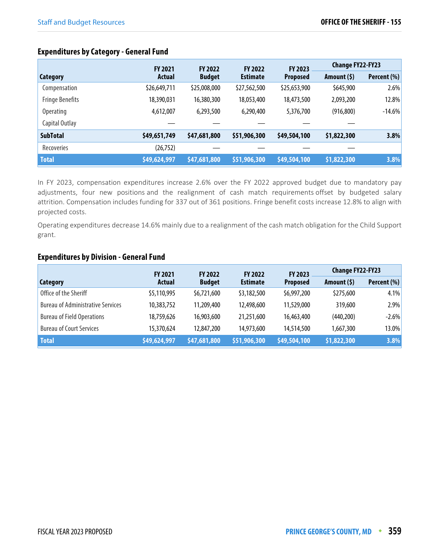# **Expenditures by Category - General Fund**

|                        | FY 2023<br><b>FY 2021</b><br><b>FY 2022</b><br><b>FY 2022</b> |               |                 | <b>Change FY22-FY23</b> |             |             |
|------------------------|---------------------------------------------------------------|---------------|-----------------|-------------------------|-------------|-------------|
| <b>Category</b>        | <b>Actual</b>                                                 | <b>Budget</b> | <b>Estimate</b> | <b>Proposed</b>         | Amount (\$) | Percent (%) |
| Compensation           | \$26,649,711                                                  | \$25,008,000  | \$27,562,500    | \$25,653,900            | \$645,900   | 2.6%        |
| <b>Fringe Benefits</b> | 18,390,031                                                    | 16,380,300    | 18,053,400      | 18,473,500              | 2,093,200   | 12.8%       |
| <b>Operating</b>       | 4,612,007                                                     | 6,293,500     | 6,290,400       | 5,376,700               | (916, 800)  | $-14.6%$    |
| Capital Outlay         |                                                               |               |                 |                         |             |             |
| <b>SubTotal</b>        | \$49,651,749                                                  | \$47,681,800  | \$51,906,300    | \$49,504,100            | \$1,822,300 | 3.8%        |
| Recoveries             | (26, 752)                                                     |               |                 |                         |             |             |
| <b>Total</b>           | \$49,624,997                                                  | \$47,681,800  | \$51,906,300    | \$49,504,100            | \$1,822,300 | 3.8%        |

In FY 2023, compensation expenditures increase 2.6% over the FY 2022 approved budget due to mandatory pay adjustments, four new positions and the realignment of cash match requirements offset by budgeted salary attrition. Compensation includes funding for 337 out of 361 positions. Fringe benefit costs increase 12.8% to align with projected costs.

Operating expenditures decrease 14.6% mainly due to a realignment of the cash match obligation for the Child Support grant.

#### **Expenditures by Division - General Fund**

|                                          | FY 2023<br><b>FY 2022</b><br><b>FY 2021</b><br><b>FY 2022</b> |               |                 | <b>Change FY22-FY23</b> |              |             |
|------------------------------------------|---------------------------------------------------------------|---------------|-----------------|-------------------------|--------------|-------------|
| Category                                 | <b>Actual</b>                                                 | <b>Budget</b> | <b>Estimate</b> | <b>Proposed</b>         | Amount $(5)$ | Percent (%) |
| Office of the Sheriff                    | \$5,110,995                                                   | \$6,721,600   | \$3,182,500     | \$6,997,200             | \$275,600    | 4.1%        |
| <b>Bureau of Administrative Services</b> | 10,383,752                                                    | 11,209,400    | 12,498,600      | 11,529,000              | 319,600      | $2.9\%$     |
| <b>Bureau of Field Operations</b>        | 18,759,626                                                    | 16,903,600    | 21,251,600      | 16,463,400              | (440, 200)   | $-2.6\%$    |
| <b>Bureau of Court Services</b>          | 15,370,624                                                    | 12,847,200    | 14,973,600      | 14,514,500              | 1,667,300    | $13.0\%$    |
| <b>Total</b>                             | \$49,624,997                                                  | \$47,681,800  | \$51,906,300    | \$49,504,100            | \$1,822,300  | 3.8%        |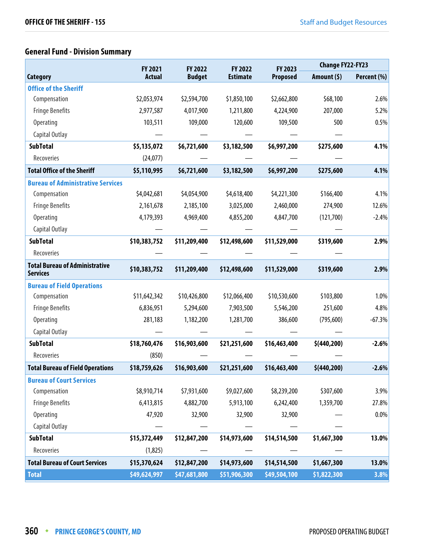# **General Fund - Division Summary**

|                                                          | <b>FY 2022</b><br><b>FY 2021</b><br>FY 2022 |               | FY 2023         | <b>Change FY22-FY23</b> |             |             |
|----------------------------------------------------------|---------------------------------------------|---------------|-----------------|-------------------------|-------------|-------------|
| Category                                                 | <b>Actual</b>                               | <b>Budget</b> | <b>Estimate</b> | <b>Proposed</b>         | Amount (\$) | Percent (%) |
| <b>Office of the Sheriff</b>                             |                                             |               |                 |                         |             |             |
| Compensation                                             | \$2,053,974                                 | \$2,594,700   | \$1,850,100     | \$2,662,800             | \$68,100    | 2.6%        |
| <b>Fringe Benefits</b>                                   | 2,977,587                                   | 4,017,900     | 1,211,800       | 4,224,900               | 207,000     | 5.2%        |
| <b>Operating</b>                                         | 103,511                                     | 109,000       | 120,600         | 109,500                 | 500         | 0.5%        |
| Capital Outlay                                           |                                             |               |                 |                         |             |             |
| <b>SubTotal</b>                                          | \$5,135,072                                 | \$6,721,600   | \$3,182,500     | \$6,997,200             | \$275,600   | 4.1%        |
| Recoveries                                               | (24,077)                                    |               |                 |                         |             |             |
| <b>Total Office of the Sheriff</b>                       | \$5,110,995                                 | \$6,721,600   | \$3,182,500     | \$6,997,200             | \$275,600   | 4.1%        |
| <b>Bureau of Administrative Services</b>                 |                                             |               |                 |                         |             |             |
| Compensation                                             | \$4,042,681                                 | \$4,054,900   | \$4,618,400     | \$4,221,300             | \$166,400   | 4.1%        |
| <b>Fringe Benefits</b>                                   | 2,161,678                                   | 2,185,100     | 3,025,000       | 2,460,000               | 274,900     | 12.6%       |
| <b>Operating</b>                                         | 4,179,393                                   | 4,969,400     | 4,855,200       | 4,847,700               | (121,700)   | $-2.4%$     |
| Capital Outlay                                           |                                             |               |                 |                         |             |             |
| <b>SubTotal</b>                                          | \$10,383,752                                | \$11,209,400  | \$12,498,600    | \$11,529,000            | \$319,600   | 2.9%        |
| Recoveries                                               |                                             |               |                 |                         |             |             |
| <b>Total Bureau of Administrative</b><br><b>Services</b> | \$10,383,752                                | \$11,209,400  | \$12,498,600    | \$11,529,000            | \$319,600   | 2.9%        |
| <b>Bureau of Field Operations</b>                        |                                             |               |                 |                         |             |             |
| Compensation                                             | \$11,642,342                                | \$10,426,800  | \$12,066,400    | \$10,530,600            | \$103,800   | 1.0%        |
| <b>Fringe Benefits</b>                                   | 6,836,951                                   | 5,294,600     | 7,903,500       | 5,546,200               | 251,600     | 4.8%        |
| <b>Operating</b>                                         | 281,183                                     | 1,182,200     | 1,281,700       | 386,600                 | (795,600)   | $-67.3%$    |
| Capital Outlay                                           |                                             |               |                 |                         |             |             |
| <b>SubTotal</b>                                          | \$18,760,476                                | \$16,903,600  | \$21,251,600    | \$16,463,400            | \$(440,200) | $-2.6%$     |
| Recoveries                                               | (850)                                       |               |                 |                         |             |             |
| <b>Total Bureau of Field Operations</b>                  | \$18,759,626                                | \$16,903,600  | \$21,251,600    | \$16,463,400            | \$(440,200) | $-2.6%$     |
| <b>Bureau of Court Services</b>                          |                                             |               |                 |                         |             |             |
| Compensation                                             | \$8,910,714                                 | \$7,931,600   | \$9,027,600     | \$8,239,200             | \$307,600   | 3.9%        |
| <b>Fringe Benefits</b>                                   | 6,413,815                                   | 4,882,700     | 5,913,100       | 6,242,400               | 1,359,700   | 27.8%       |
| Operating                                                | 47,920                                      | 32,900        | 32,900          | 32,900                  |             | 0.0%        |
| Capital Outlay                                           |                                             |               |                 |                         |             |             |
| <b>SubTotal</b>                                          | \$15,372,449                                | \$12,847,200  | \$14,973,600    | \$14,514,500            | \$1,667,300 | 13.0%       |
| Recoveries                                               | (1,825)                                     |               |                 |                         |             |             |
| <b>Total Bureau of Court Services</b>                    | \$15,370,624                                | \$12,847,200  | \$14,973,600    | \$14,514,500            | \$1,667,300 | 13.0%       |
| <b>Total</b>                                             | \$49,624,997                                | \$47,681,800  | \$51,906,300    | \$49,504,100            | \$1,822,300 | 3.8%        |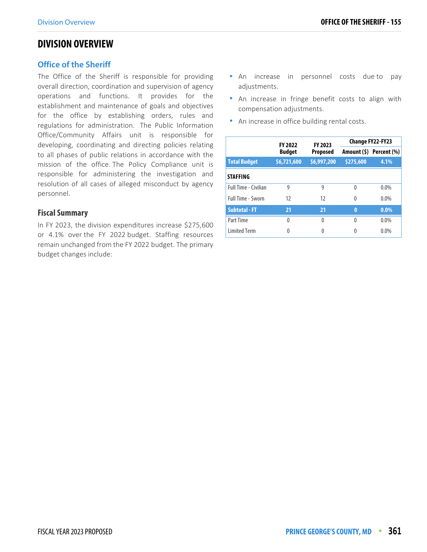# **DIVISION OVERVIEW**

#### **Office of the Sheriff**

The Office of the Sheriff is responsible for providing overall direction, coordination and supervision of agency operations and functions. It provides for the establishment and maintenance of goals and objectives for the office by establishing orders, rules and regulations for administration. The Public Information Office/Community Affairs unit is responsible for developing, coordinating and directing policies relating to all phases of public relations in accordance with the mission of the office. The Policy Compliance unit is responsible for administering the investigation and resolution of all cases of alleged misconduct by agency personnel.

#### **Fiscal Summary**

In FY 2023, the division expenditures increase \$275,600 or 4.1% over the FY 2022 budget. Staffing resources remain unchanged from the FY 2022 budget. The primary budget changes include:

- An increase in personnel costs due to pay adjustments.
- **An increase in fringe benefit costs to align with** compensation adjustments.
- **An increase in office building rental costs.**

|                      | FY 2023<br><b>FY 2022</b> |                 | Change FY22-FY23 |                         |  |
|----------------------|---------------------------|-----------------|------------------|-------------------------|--|
|                      | <b>Budget</b>             | <b>Proposed</b> |                  | Amount (\$) Percent (%) |  |
| <b>Total Budget</b>  | \$6,721,600               | \$6,997,200     | \$275,600        | 4.1%                    |  |
| <b>STAFFING</b>      |                           |                 |                  |                         |  |
| Full Time - Civilian | 9                         | 9               | 0                | $0.0\%$                 |  |
| Full Time - Sworn    | 12                        | 12              | 0                | $0.0\%$                 |  |
| <b>Subtotal - FT</b> | 21                        | 21              | $\bf{0}$         | $0.0\%$                 |  |
| Part Time            | 0                         | 0               | 0                | $0.0\%$                 |  |
| <b>Limited Term</b>  | 0                         | Λ               | O                | $0.0\%$                 |  |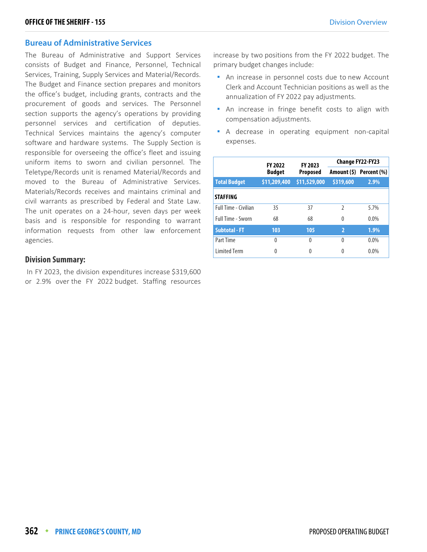#### **Bureau of Administrative Services**

The Bureau of Administrative and Support Services consists of Budget and Finance, Personnel, Technical Services, Training, Supply Services and Material/Records. The Budget and Finance section prepares and monitors the office's budget, including grants, contracts and the procurement of goods and services. The Personnel section supports the agency's operations by providing personnel services and certification of deputies. Technical Services maintains the agency's computer software and hardware systems. The Supply Section is responsible for overseeing the office's fleet and issuing uniform items to sworn and civilian personnel. The Teletype/Records unit is renamed Material/Records and moved to the Bureau of Administrative Services. Materials/Records receives and maintains criminal and civil warrants as prescribed by Federal and State Law. The unit operates on a 24-hour, seven days per week basis and is responsible for responding to warrant information requests from other law enforcement agencies.

#### **Division Summary:**

 In FY 2023, the division expenditures increase \$319,600 or 2.9% over the FY 2022 budget. Staffing resources

increase by two positions from the FY 2022 budget. The primary budget changes include:

- An increase in personnel costs due to new Account Clerk and Account Technician positions as well as the annualization of FY 2022 pay adjustments.
- An increase in fringe benefit costs to align with compensation adjustments.
- A decrease in operating equipment non-capital expenses.

|                      | <b>FY 2022</b> | FY 2023         | <b>Change FY22-FY23</b> |                         |  |
|----------------------|----------------|-----------------|-------------------------|-------------------------|--|
|                      | <b>Budget</b>  | <b>Proposed</b> |                         | Amount (\$) Percent (%) |  |
| <b>Total Budget</b>  | \$11,209,400   | \$11,529,000    | \$319,600               | 2.9%                    |  |
| <b>STAFFING</b>      |                |                 |                         |                         |  |
| Full Time - Civilian | 35             | 37              | $\mathfrak z$           | 5.7%                    |  |
| Full Time - Sworn    | 68             | 68              | 0                       | 0.0%                    |  |
| <b>Subtotal - FT</b> | 103            | 105             | $\overline{2}$          | 1.9%                    |  |
| Part Time            | 0              | 0               | 0                       | $0.0\%$                 |  |
| <b>Limited Term</b>  | 0              | 0               | 0                       | 0.0%                    |  |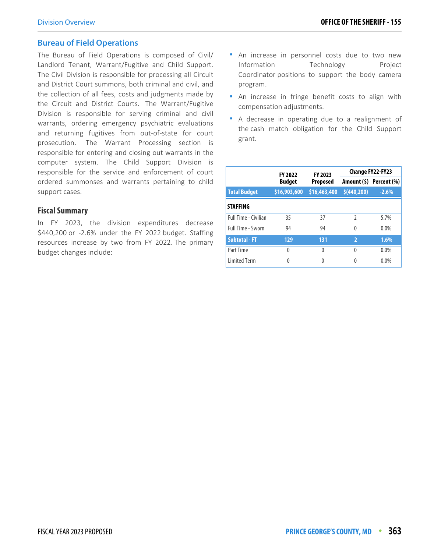#### **Bureau of Field Operations**

The Bureau of Field Operations is composed of Civil/ Landlord Tenant, Warrant/Fugitive and Child Support. The Civil Division is responsible for processing all Circuit and District Court summons, both criminal and civil, and the collection of all fees, costs and judgments made by the Circuit and District Courts. The Warrant/Fugitive Division is responsible for serving criminal and civil warrants, ordering emergency psychiatric evaluations and returning fugitives from out-of-state for court prosecution. The Warrant Processing section is responsible for entering and closing out warrants in the computer system. The Child Support Division is responsible for the service and enforcement of court ordered summonses and warrants pertaining to child support cases.

#### **Fiscal Summary**

In FY 2023, the division expenditures decrease \$440,200 or -2.6% under the FY 2022 budget. Staffing resources increase by two from FY 2022. The primary budget changes include:

- **-** An increase in personnel costs due to two new Information Technology Project Coordinator positions to support the body camera program.
- **An increase in fringe benefit costs to align with** compensation adjustments.
- A decrease in operating due to a realignment of the cash match obligation for the Child Support grant.

|                             | <b>FY 2022</b> | FY 2023         | Change FY22-FY23         |                         |  |
|-----------------------------|----------------|-----------------|--------------------------|-------------------------|--|
|                             | <b>Budget</b>  | <b>Proposed</b> |                          | Amount (\$) Percent (%) |  |
| <b>Total Budget</b>         | \$16,903,600   | \$16,463,400    | \$(440,200)              | $-2.6%$                 |  |
| <b>STAFFING</b>             |                |                 |                          |                         |  |
| <b>Full Time - Civilian</b> | 35             | 37              | $\mathcal{P}$            | 5.7%                    |  |
| <b>Full Time - Sworn</b>    | 94             | 94              | 0                        | 0.0%                    |  |
| <b>Subtotal - FT</b>        | 129            | 131             | $\overline{\phantom{a}}$ | 1.6%                    |  |
| Part Time                   | $\Omega$       | 0               | 0                        | 0.0%                    |  |
| <b>Limited Term</b>         | 0              | 0               | O                        | $0.0\%$                 |  |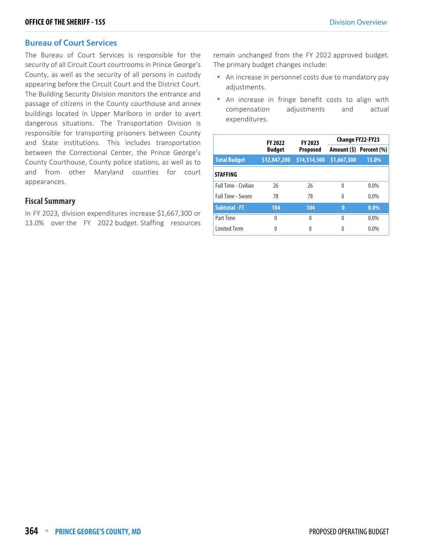#### **Bureau of Court Services**

The Bureau of Court Services is responsible for the security of all Circuit Court courtrooms in Prince George's County, as well as the security of all persons in custody appearing before the Circuit Court and the District Court. The Building Security Division monitors the entrance and passage of citizens in the County courthouse and annex buildings located in Upper Marlboro in order to avert dangerous situations. The Transportation Division is responsible for transporting prisoners between County and State institutions. This includes transportation between the Correctional Center, the Prince George's County Courthouse, County police stations, as well as to and from other Maryland counties for court appearances.

#### **Fiscal Summary**

In FY 2023, division expenditures increase \$1,667,300 or 13.0% over the FY 2022 budget. Staffing resources remain unchanged from the FY 2022 approved budget. The primary budget changes include:

- An increase in personnel costs due to mandatory pay adjustments.
- An increase in fringe benefit costs to align with compensation adjustments and actual expenditures.

|                      | <b>FY 2022</b> | <b>FY 2023</b>  |             | <b>Change FY22-FY23</b> |
|----------------------|----------------|-----------------|-------------|-------------------------|
|                      | <b>Budget</b>  | <b>Proposed</b> |             | Amount (\$) Percent (%) |
| <b>Total Budget</b>  | \$12,847,200   | \$14,514,500    | \$1,667,300 | 13.0%                   |
| <b>STAFFING</b>      |                |                 |             |                         |
| Full Time - Civilian | 26             | 26              | 0           | $0.0\%$                 |
| Full Time - Sworn    | 78             | 78              | 0           | $0.0\%$                 |
| <b>Subtotal - FT</b> | 104            | 104             | $\bf{0}$    | $0.0\%$                 |
| Part Time            | $\Omega$       | 0               | 0           | $0.0\%$                 |
| <b>Limited Term</b>  | 0              | U               |             | $0.0\%$                 |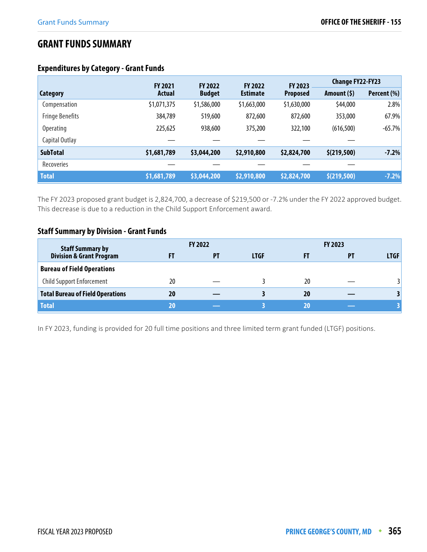# **GRANT FUNDS SUMMARY**

# **Expenditures by Category - Grant Funds**

|                        | <b>FY 2021</b> | <b>FY 2022</b> | <b>FY 2022</b>  | FY 2023         | <b>Change FY22-FY23</b> |             |
|------------------------|----------------|----------------|-----------------|-----------------|-------------------------|-------------|
| Category               | Actual         | <b>Budget</b>  | <b>Estimate</b> | <b>Proposed</b> | Amount (\$)             | Percent (%) |
| Compensation           | \$1,071,375    | \$1,586,000    | \$1,663,000     | \$1,630,000     | \$44,000                | 2.8%        |
| <b>Fringe Benefits</b> | 384,789        | 519,600        | 872,600         | 872,600         | 353,000                 | 67.9%       |
| <b>Operating</b>       | 225,625        | 938,600        | 375,200         | 322,100         | (616, 500)              | $-65.7%$    |
| Capital Outlay         |                |                |                 |                 |                         |             |
| <b>SubTotal</b>        | \$1,681,789    | \$3,044,200    | \$2,910,800     | \$2,824,700     | \$(219,500)             | $-7.2%$     |
| Recoveries             |                |                |                 |                 |                         |             |
| <b>Total</b>           | \$1,681,789    | \$3,044,200    | \$2,910,800     | \$2,824,700     | \$(219,500)             | $-7.2%$     |

The FY 2023 proposed grant budget is 2,824,700, a decrease of \$219,500 or -7.2% under the FY 2022 approved budget. This decrease is due to a reduction in the Child Support Enforcement award.

# **Staff Summary by Division - Grant Funds**

| <b>Staff Summary by</b>                 |    | <b>FY 2022</b> |             |    | <b>FY 2023</b> |             |
|-----------------------------------------|----|----------------|-------------|----|----------------|-------------|
| <b>Division &amp; Grant Program</b>     |    | PT             | <b>LTGF</b> |    | PТ             | <b>LTGF</b> |
| <b>Bureau of Field Operations</b>       |    |                |             |    |                |             |
| Child Support Enforcement               | 20 |                |             | 20 |                | 3           |
| <b>Total Bureau of Field Operations</b> | 20 |                |             | 20 |                | 3           |
| <b>Total</b>                            | 20 |                |             | 20 |                |             |

In FY 2023, funding is provided for 20 full time positions and three limited term grant funded (LTGF) positions.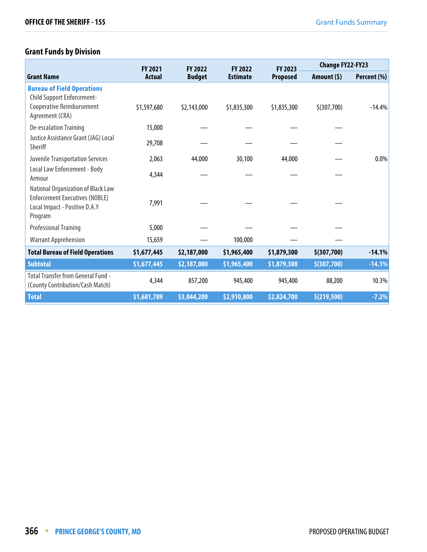# **Grant Funds by Division**

|                                                                                                                         | <b>FY 2021</b> | <b>FY 2022</b> | <b>FY 2022</b>  | <b>FY 2023</b>  | <b>Change FY22-FY23</b> |             |
|-------------------------------------------------------------------------------------------------------------------------|----------------|----------------|-----------------|-----------------|-------------------------|-------------|
| <b>Grant Name</b>                                                                                                       | Actual         | <b>Budget</b>  | <b>Estimate</b> | <b>Proposed</b> | Amount $(5)$            | Percent (%) |
| <b>Bureau of Field Operations</b><br>Child Support Enforcement-<br>Cooperative Reimbursement<br>Agreement (CRA)         | \$1,597,680    | \$2,143,000    | \$1,835,300     | \$1,835,300     | \$(307,700)             | $-14.4%$    |
| De-escalation Training                                                                                                  | 15,000         |                |                 |                 |                         |             |
| Justice Assistance Grant (JAG) Local<br>Sheriff                                                                         | 29,708         |                |                 |                 |                         |             |
| <b>Juvenile Transportation Services</b>                                                                                 | 2,063          | 44,000         | 30,100          | 44,000          |                         | 0.0%        |
| Local Law Enforcement - Body<br>Armour                                                                                  | 4,344          |                |                 |                 |                         |             |
| National Organization of Black Law<br><b>Enforcement Executives (NOBLE)</b><br>Local Impact - Positive D.A.Y<br>Program | 7,991          |                |                 |                 |                         |             |
| <b>Professional Training</b>                                                                                            | 5,000          |                |                 |                 |                         |             |
| <b>Warrant Apprehension</b>                                                                                             | 15,659         |                | 100,000         |                 |                         |             |
| <b>Total Bureau of Field Operations</b>                                                                                 | \$1,677,445    | \$2,187,000    | \$1,965,400     | \$1,879,300     | \$(307,700)             | $-14.1%$    |
| <b>Subtotal</b>                                                                                                         | \$1,677,445    | \$2,187,000    | \$1,965,400     | \$1,879,300     | \$(307,700)             | $-14.1%$    |
| Total Transfer from General Fund -<br>(County Contribution/Cash Match)                                                  | 4,344          | 857,200        | 945,400         | 945,400         | 88,200                  | 10.3%       |
| <b>Total</b>                                                                                                            | \$1,681,789    | \$3,044,200    | \$2,910,800     | \$2,824,700     | \$(219,500)             | $-7.2%$     |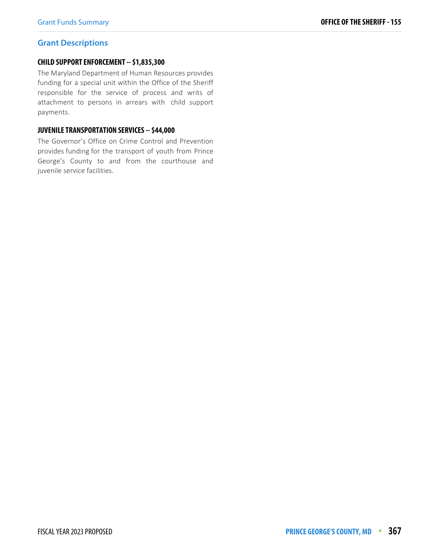#### Grant Funds Summary **OFFICE OF THE SHERIFF - 155**

#### **Grant Descriptions**

#### **CHILD SUPPORT ENFORCEMENT -- \$1,835,300**

The Maryland Department of Human Resources provides funding for a special unit within the Office of the Sheriff responsible for the service of process and writs of attachment to persons in arrears with child support payments.

#### **JUVENILE TRANSPORTATION SERVICES -- \$44,000**

The Governor's Office on Crime Control and Prevention provides funding for the transport of youth from Prince George's County to and from the courthouse and juvenile service facilities.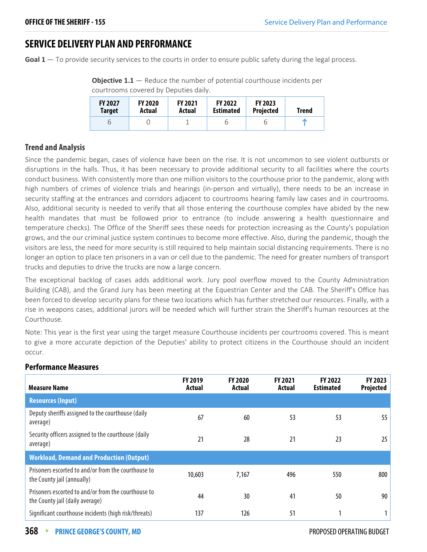# **SERVICE DELIVERY PLAN AND PERFORMANCE**

Goal 1 – To provide security services to the courts in order to ensure public safety during the legal process.

| courtrooms covered by Deputies daily. |                |                |                  |                  |       |  |  |
|---------------------------------------|----------------|----------------|------------------|------------------|-------|--|--|
| <b>FY 2027</b>                        | <b>FY 2020</b> | <b>FY 2021</b> | <b>FY 2022</b>   | <b>FY 2023</b>   | Trend |  |  |
| Target                                | Actual         | Actual         | <b>Estimated</b> | <b>Projected</b> |       |  |  |

6 0 1 6 6 1

**Objective 1.1** – Reduce the number of potential courthouse incidents per

## **Trend and Analysis**

Since the pandemic began, cases of violence have been on the rise. It is not uncommon to see violent outbursts or disruptions in the halls. Thus, it has been necessary to provide additional security to all facilities where the courts conduct business. With consistently more than one million visitors to the courthouse prior to the pandemic, along with high numbers of crimes of violence trials and hearings (in-person and virtually), there needs to be an increase in security staffing at the entrances and corridors adjacent to courtrooms hearing family law cases and in courtrooms. Also, additional security is needed to verify that all those entering the courthouse complex have abided by the new health mandates that must be followed prior to entrance (to include answering a health questionnaire and temperature checks). The Office of the Sheriff sees these needs for protection increasing as the County's population grows, and the our criminal justice system continues to become more effective. Also, during the pandemic, though the visitors are less, the need for more security is still required to help maintain social distancing requirements. There is no longer an option to place ten prisoners in a van or cell due to the pandemic. The need for greater numbers of transport trucks and deputies to drive the trucks are now a large concern.

The exceptional backlog of cases adds additional work. Jury pool overflow moved to the County Administration Building (CAB), and the Grand Jury has been meeting at the Equestrian Center and the CAB. The Sheriff's Office has been forced to develop security plans for these two locations which has further stretched our resources. Finally, with a rise in weapons cases, additional jurors will be needed which will further strain the Sheriff's human resources at the Courthouse.

Note: This year is the first year using the target measure Courthouse incidents per courtrooms covered. This is meant to give a more accurate depiction of the Deputies' ability to protect citizens in the Courthouse should an incident occur.

| <b>Measure Name</b>                                                                    | <b>FY 2019</b><br>Actual | <b>FY 2020</b><br>Actual | <b>FY 2021</b><br>Actual | <b>FY 2022</b><br><b>Estimated</b> | FY 2023<br>Projected |
|----------------------------------------------------------------------------------------|--------------------------|--------------------------|--------------------------|------------------------------------|----------------------|
| <b>Resources (Input)</b>                                                               |                          |                          |                          |                                    |                      |
| Deputy sheriffs assigned to the courthouse (daily<br>average)                          | 67                       | 60                       | 53                       | 53                                 | 55                   |
| Security officers assigned to the courthouse (daily<br>average)                        | 21                       | 28                       | 21                       | 23                                 | 25                   |
| <b>Workload, Demand and Production (Output)</b>                                        |                          |                          |                          |                                    |                      |
| Prisoners escorted to and/or from the courthouse to<br>the County jail (annually)      | 10,603                   | 7,167                    | 496                      | 550                                | 800                  |
| Prisoners escorted to and/or from the courthouse to<br>the County jail (daily average) | 44                       | 30                       | 41                       | 50                                 | 90                   |
| Significant courthouse incidents (high risk/threats)                                   | 137                      | 126                      | 51                       |                                    |                      |

#### **Performance Measures**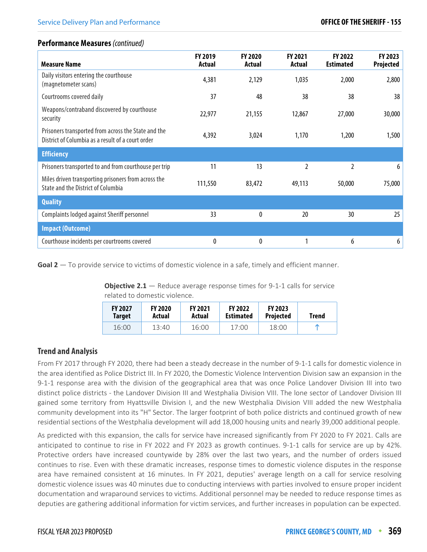#### **Performance Measures** (continued)

| <b>Measure Name</b>                                                                                      | <b>FY 2019</b><br>Actual | <b>FY 2020</b><br>Actual | <b>FY 2021</b><br>Actual | <b>FY 2022</b><br><b>Estimated</b> | FY 2023<br>Projected |
|----------------------------------------------------------------------------------------------------------|--------------------------|--------------------------|--------------------------|------------------------------------|----------------------|
| Daily visitors entering the courthouse<br>(magnetometer scans)                                           | 4,381                    | 2,129                    | 1,035                    | 2,000                              | 2,800                |
| Courtrooms covered daily                                                                                 | 37                       | 48                       | 38                       | 38                                 | 38                   |
| Weapons/contraband discovered by courthouse<br>security                                                  | 22,977                   | 21,155                   | 12,867                   | 27,000                             | 30,000               |
| Prisoners transported from across the State and the<br>District of Columbia as a result of a court order | 4,392                    | 3,024                    | 1,170                    | 1,200                              | 1,500                |
| <b>Efficiency</b>                                                                                        |                          |                          |                          |                                    |                      |
| Prisoners transported to and from courthouse per trip                                                    | 11                       | 13                       | 2                        | 2                                  | 6                    |
| Miles driven transporting prisoners from across the<br><b>State and the District of Columbia</b>         | 111,550                  | 83,472                   | 49,113                   | 50,000                             | 75,000               |
| <b>Quality</b>                                                                                           |                          |                          |                          |                                    |                      |
| Complaints lodged against Sheriff personnel                                                              | 33                       | 0                        | 20                       | 30                                 | 25                   |
| <b>Impact (Outcome)</b>                                                                                  |                          |                          |                          |                                    |                      |
| Courthouse incidents per courtrooms covered                                                              | 0                        | 0                        |                          | 6                                  | 6                    |

**Goal 2** — To provide service to victims of domestic violence in a safe, timely and efficient manner.

**Objective 2.1** – Reduce average response times for 9-1-1 calls for service related to domestic violence.

| <b>FY 2027</b> | <b>FY 2020</b> | <b>FY 2021</b> | <b>FY 2022</b>   | <b>FY 2023</b>   | Trend |
|----------------|----------------|----------------|------------------|------------------|-------|
| <b>Target</b>  | Actual         | Actual         | <b>Estimated</b> | <b>Projected</b> |       |
| 16:00          | 13:40          | 16:00          | 17:00            | 18:00            | m     |

## **Trend and Analysis**

From FY 2017 through FY 2020, there had been a steady decrease in the number of 9-1-1 calls for domestic violence in the area identified as Police District III. In FY 2020, the Domestic Violence Intervention Division saw an expansion in the 9-1-1 response area with the division of the geographical area that was once Police Landover Division III into two distinct police districts - the Landover Division III and Westphalia Division VIII. The lone sector of Landover Division III gained some territory from Hyattsville Division I, and the new Westphalia Division VIII added the new Westphalia community development into its "H" Sector. The larger footprint of both police districts and continued growth of new residential sections of the Westphalia development will add 18,000 housing units and nearly 39,000 additional people.

As predicted with this expansion, the calls for service have increased significantly from FY 2020 to FY 2021. Calls are anticipated to continue to rise in FY 2022 and FY 2023 as growth continues. 9-1-1 calls for service are up by 42%. Protective orders have increased countywide by 28% over the last two years, and the number of orders issued continues to rise. Even with these dramatic increases, response times to domestic violence disputes in the response area have remained consistent at 16 minutes. In FY 2021, deputies' average length on a call for service resolving domestic violence issues was 40 minutes due to conducting interviews with parties involved to ensure proper incident documentation and wraparound services to victims. Additional personnel may be needed to reduce response times as deputies are gathering additional information for victim services, and further increases in population can be expected.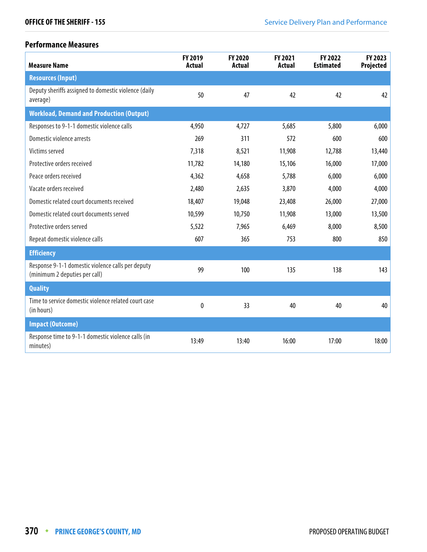# **Performance Measures**

| <b>Measure Name</b>                                                                | FY 2019<br><b>Actual</b> | FY 2020<br><b>Actual</b> | FY 2021<br><b>Actual</b> | FY 2022<br><b>Estimated</b> | FY 2023<br><b>Projected</b> |
|------------------------------------------------------------------------------------|--------------------------|--------------------------|--------------------------|-----------------------------|-----------------------------|
| <b>Resources (Input)</b>                                                           |                          |                          |                          |                             |                             |
| Deputy sheriffs assigned to domestic violence (daily<br>average)                   | 50                       | 47                       | 42                       | 42                          | 42                          |
| <b>Workload, Demand and Production (Output)</b>                                    |                          |                          |                          |                             |                             |
| Responses to 9-1-1 domestic violence calls                                         | 4,950                    | 4,727                    | 5,685                    | 5,800                       | 6,000                       |
| Domestic violence arrests                                                          | 269                      | 311                      | 572                      | 600                         | 600                         |
| Victims served                                                                     | 7,318                    | 8,521                    | 11,908                   | 12,788                      | 13,440                      |
| Protective orders received                                                         | 11,782                   | 14,180                   | 15,106                   | 16,000                      | 17,000                      |
| Peace orders received                                                              | 4,362                    | 4,658                    | 5,788                    | 6,000                       | 6,000                       |
| Vacate orders received                                                             | 2,480                    | 2,635                    | 3,870                    | 4,000                       | 4,000                       |
| Domestic related court documents received                                          | 18,407                   | 19,048                   | 23,408                   | 26,000                      | 27,000                      |
| Domestic related court documents served                                            | 10,599                   | 10,750                   | 11,908                   | 13,000                      | 13,500                      |
| Protective orders served                                                           | 5,522                    | 7,965                    | 6,469                    | 8,000                       | 8,500                       |
| Repeat domestic violence calls                                                     | 607                      | 365                      | 753                      | 800                         | 850                         |
| <b>Efficiency</b>                                                                  |                          |                          |                          |                             |                             |
| Response 9-1-1 domestic violence calls per deputy<br>(minimum 2 deputies per call) | 99                       | 100                      | 135                      | 138                         | 143                         |
| <b>Quality</b>                                                                     |                          |                          |                          |                             |                             |
| Time to service domestic violence related court case<br>(in hours)                 | 0                        | 33                       | 40                       | 40                          | 40                          |
| <b>Impact (Outcome)</b>                                                            |                          |                          |                          |                             |                             |
| Response time to 9-1-1 domestic violence calls (in<br>minutes)                     | 13:49                    | 13:40                    | 16:00                    | 17:00                       | 18:00                       |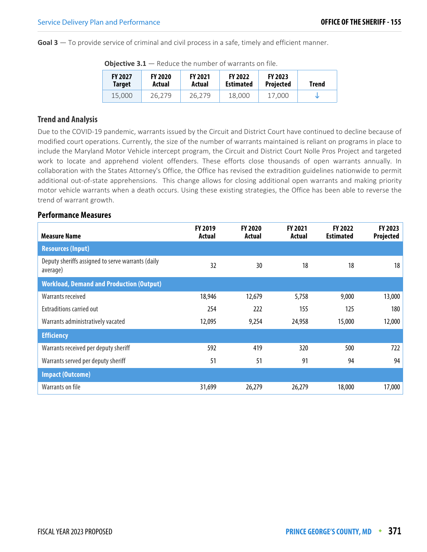**Goal 3** — To provide service of criminal and civil process in a safe, timely and efficient manner.

| <b>FY 2027</b><br><b>Target</b> | <b>FY 2020</b><br>Actual | <b>FY 2021</b><br>Actual | <b>FY 2022</b><br><b>Estimated</b> | <b>FY 2023</b><br><b>Projected</b> | Trend |
|---------------------------------|--------------------------|--------------------------|------------------------------------|------------------------------------|-------|
| 15,000                          | 26.279                   | 26.279                   | 18,000                             | 17.000                             |       |

**Objective 3.1** — Reduce the number of warrants on file.

#### **Trend and Analysis**

Due to the COVID-19 pandemic, warrants issued by the Circuit and District Court have continued to decline because of modified court operations. Currently, the size of the number of warrants maintained is reliant on programs in place to include the Maryland Motor Vehicle intercept program, the Circuit and District Court Nolle Pros Project and targeted work to locate and apprehend violent offenders. These efforts close thousands of open warrants annually. In collaboration with the States Attorney's Office, the Office has revised the extradition guidelines nationwide to permit additional out-of-state apprehensions. This change allows for closing additional open warrants and making priority motor vehicle warrants when a death occurs. Using these existing strategies, the Office has been able to reverse the trend of warrant growth.

#### **Performance Measures**

| <b>Measure Name</b>                                           | <b>FY 2019</b><br>Actual | <b>FY 2020</b><br>Actual | <b>FY 2021</b><br>Actual | <b>FY 2022</b><br><b>Estimated</b> | FY 2023<br>Projected |
|---------------------------------------------------------------|--------------------------|--------------------------|--------------------------|------------------------------------|----------------------|
| <b>Resources (Input)</b>                                      |                          |                          |                          |                                    |                      |
| Deputy sheriffs assigned to serve warrants (daily<br>average) | 32                       | 30                       | 18                       | 18                                 | 18                   |
| <b>Workload, Demand and Production (Output)</b>               |                          |                          |                          |                                    |                      |
| Warrants received                                             | 18,946                   | 12,679                   | 5,758                    | 9,000                              | 13,000               |
| <b>Extraditions carried out</b>                               | 254                      | 222                      | 155                      | 125                                | 180                  |
| Warrants administratively vacated                             | 12,095                   | 9,254                    | 24,958                   | 15,000                             | 12,000               |
| <b>Efficiency</b>                                             |                          |                          |                          |                                    |                      |
| Warrants received per deputy sheriff                          | 592                      | 419                      | 320                      | 500                                | 722                  |
| Warrants served per deputy sheriff                            | 51                       | 51                       | 91                       | 94                                 | 94                   |
| <b>Impact (Outcome)</b>                                       |                          |                          |                          |                                    |                      |
| Warrants on file                                              | 31,699                   | 26,279                   | 26,279                   | 18,000                             | 17,000               |